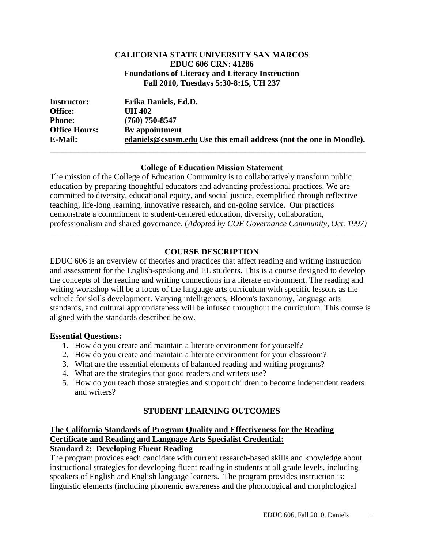### **CALIFORNIA STATE UNIVERSITY SAN MARCOS EDUC 606 CRN: 41286 Foundations of Literacy and Literacy Instruction Fall 2010, Tuesdays 5:30-8:15, UH 237**

| <b>Instructor:</b>   | Erika Daniels, Ed.D.                                               |
|----------------------|--------------------------------------------------------------------|
| Office:              | UH 402                                                             |
| <b>Phone:</b>        | $(760)$ 750-8547                                                   |
| <b>Office Hours:</b> | By appointment                                                     |
| <b>E-Mail:</b>       | edaniels@csusm.edu Use this email address (not the one in Moodle). |
|                      |                                                                    |

#### **College of Education Mission Statement**

The mission of the College of Education Community is to collaboratively transform public education by preparing thoughtful educators and advancing professional practices. We are committed to diversity, educational equity, and social justice, exemplified through reflective teaching, life-long learning, innovative research, and on-going service. Our practices demonstrate a commitment to student-centered education, diversity, collaboration, professionalism and shared governance. (*Adopted by COE Governance Community, Oct. 1997)* 

\_\_\_\_\_\_\_\_\_\_\_\_\_\_\_\_\_\_\_\_\_\_\_\_\_\_\_\_\_\_\_\_\_\_\_\_\_\_\_\_\_\_\_\_\_\_\_\_\_\_\_\_\_\_\_\_\_\_\_\_\_\_\_\_\_\_\_\_\_\_\_\_\_\_\_\_

# **COURSE DESCRIPTION**

EDUC 606 is an overview of theories and practices that affect reading and writing instruction and assessment for the English-speaking and EL students. This is a course designed to develop the concepts of the reading and writing connections in a literate environment. The reading and writing workshop will be a focus of the language arts curriculum with specific lessons as the vehicle for skills development. Varying intelligences, Bloom's taxonomy, language arts standards, and cultural appropriateness will be infused throughout the curriculum. This course is aligned with the standards described below.

#### **Essential Questions:**

- 1. How do you create and maintain a literate environment for yourself?
- 2. How do you create and maintain a literate environment for your classroom?
- 3. What are the essential elements of balanced reading and writing programs?
- 4. What are the strategies that good readers and writers use?
- 5. How do you teach those strategies and support children to become independent readers and writers?

# **STUDENT LEARNING OUTCOMES**

# **The California Standards of Program Quality and Effectiveness for the Reading Certificate and Reading and Language Arts Specialist Credential:**

# **Standard 2: Developing Fluent Reading**

The program provides each candidate with current research-based skills and knowledge about instructional strategies for developing fluent reading in students at all grade levels, including speakers of English and English language learners. The program provides instruction is: linguistic elements (including phonemic awareness and the phonological and morphological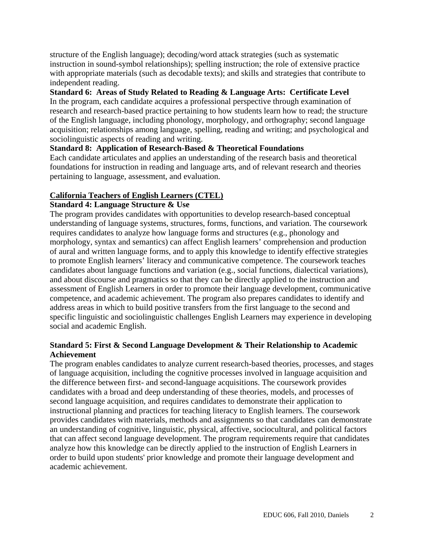structure of the English language); decoding/word attack strategies (such as systematic instruction in sound-symbol relationships); spelling instruction; the role of extensive practice with appropriate materials (such as decodable texts); and skills and strategies that contribute to independent reading.

### **Standard 6: Areas of Study Related to Reading & Language Arts: Certificate Level**

In the program, each candidate acquires a professional perspective through examination of research and research-based practice pertaining to how students learn how to read; the structure of the English language, including phonology, morphology, and orthography; second language acquisition; relationships among language, spelling, reading and writing; and psychological and sociolinguistic aspects of reading and writing.

# **Standard 8: Application of Research-Based & Theoretical Foundations**

Each candidate articulates and applies an understanding of the research basis and theoretical foundations for instruction in reading and language arts, and of relevant research and theories pertaining to language, assessment, and evaluation.

## **California Teachers of English Learners (CTEL)**

#### **Standard 4: Language Structure & Use**

The program provides candidates with opportunities to develop research-based conceptual understanding of language systems, structures, forms, functions, and variation. The coursework requires candidates to analyze how language forms and structures (e.g., phonology and morphology, syntax and semantics) can affect English learners' comprehension and production of aural and written language forms, and to apply this knowledge to identify effective strategies to promote English learners' literacy and communicative competence. The coursework teaches candidates about language functions and variation (e.g., social functions, dialectical variations), and about discourse and pragmatics so that they can be directly applied to the instruction and assessment of English Learners in order to promote their language development, communicative competence, and academic achievement. The program also prepares candidates to identify and address areas in which to build positive transfers from the first language to the second and specific linguistic and sociolinguistic challenges English Learners may experience in developing social and academic English.

## **Standard 5: First & Second Language Development & Their Relationship to Academic Achievement**

The program enables candidates to analyze current research-based theories, processes, and stages of language acquisition, including the cognitive processes involved in language acquisition and the difference between first- and second-language acquisitions. The coursework provides candidates with a broad and deep understanding of these theories, models, and processes of second language acquisition, and requires candidates to demonstrate their application to instructional planning and practices for teaching literacy to English learners. The coursework provides candidates with materials, methods and assignments so that candidates can demonstrate an understanding of cognitive, linguistic, physical, affective, sociocultural, and political factors that can affect second language development. The program requirements require that candidates analyze how this knowledge can be directly applied to the instruction of English Learners in order to build upon students' prior knowledge and promote their language development and academic achievement.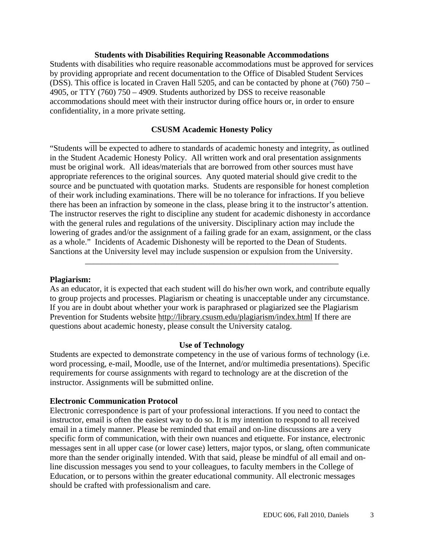#### **Students with Disabilities Requiring Reasonable Accommodations**

Students with disabilities who require reasonable accommodations must be approved for services by providing appropriate and recent documentation to the Office of Disabled Student Services (DSS). This office is located in Craven Hall 5205, and can be contacted by phone at (760) 750 – 4905, or TTY (760) 750 – 4909. Students authorized by DSS to receive reasonable accommodations should meet with their instructor during office hours or, in order to ensure confidentiality, in a more private setting.

#### **\_\_\_\_\_\_\_\_\_\_\_\_\_\_\_\_\_\_\_\_\_\_\_\_\_\_\_\_\_\_\_\_\_\_\_\_\_\_\_\_\_\_\_\_\_\_\_\_\_\_\_\_\_\_\_\_\_\_\_ CSUSM Academic Honesty Policy**

"Students will be expected to adhere to standards of academic honesty and integrity, as outlined in the Student Academic Honesty Policy. All written work and oral presentation assignments must be original work. All ideas/materials that are borrowed from other sources must have appropriate references to the original sources. Any quoted material should give credit to the source and be punctuated with quotation marks. Students are responsible for honest completion of their work including examinations. There will be no tolerance for infractions. If you believe there has been an infraction by someone in the class, please bring it to the instructor's attention. The instructor reserves the right to discipline any student for academic dishonesty in accordance with the general rules and regulations of the university. Disciplinary action may include the lowering of grades and/or the assignment of a failing grade for an exam, assignment, or the class as a whole." Incidents of Academic Dishonesty will be reported to the Dean of Students. Sanctions at the University level may include suspension or expulsion from the University.

#### **Plagiarism:**

As an educator, it is expected that each student will do his/her own work, and contribute equally to group projects and processes. Plagiarism or cheating is unacceptable under any circumstance. If you are in doubt about whether your work is paraphrased or plagiarized see the Plagiarism Prevention for Students website http://library.csusm.edu/plagiarism/index.html If there are questions about academic honesty, please consult the University catalog.

\_\_\_\_\_\_\_\_\_\_\_\_\_\_\_\_\_\_\_\_\_\_\_\_\_\_\_\_\_\_\_\_\_\_\_\_\_\_\_\_\_\_\_\_\_\_\_\_\_\_\_\_\_\_\_\_\_\_\_\_\_

#### **Use of Technology**

Students are expected to demonstrate competency in the use of various forms of technology (i.e. word processing, e-mail, Moodle, use of the Internet, and/or multimedia presentations). Specific requirements for course assignments with regard to technology are at the discretion of the instructor. Assignments will be submitted online.

#### **Electronic Communication Protocol**

Electronic correspondence is part of your professional interactions. If you need to contact the instructor, email is often the easiest way to do so. It is my intention to respond to all received email in a timely manner. Please be reminded that email and on-line discussions are a very specific form of communication, with their own nuances and etiquette. For instance, electronic messages sent in all upper case (or lower case) letters, major typos, or slang, often communicate more than the sender originally intended. With that said, please be mindful of all email and online discussion messages you send to your colleagues, to faculty members in the College of Education, or to persons within the greater educational community. All electronic messages should be crafted with professionalism and care.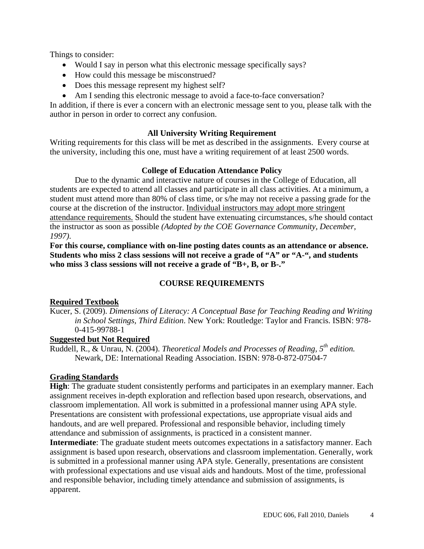Things to consider:

- Would I say in person what this electronic message specifically says?
- How could this message be misconstrued?
- Does this message represent my highest self?
- Am I sending this electronic message to avoid a face-to-face conversation?

In addition, if there is ever a concern with an electronic message sent to you, please talk with the author in person in order to correct any confusion.

# **All University Writing Requirement**

Writing requirements for this class will be met as described in the assignments. Every course at the university, including this one, must have a writing requirement of at least 2500 words.

# **College of Education Attendance Policy**

Due to the dynamic and interactive nature of courses in the College of Education, all students are expected to attend all classes and participate in all class activities. At a minimum, a student must attend more than 80% of class time, or s/he may not receive a passing grade for the course at the discretion of the instructor. Individual instructors may adopt more stringent attendance requirements. Should the student have extenuating circumstances, s/he should contact the instructor as soon as possible *(Adopted by the COE Governance Community, December, 1997)*.

**For this course, compliance with on-line posting dates counts as an attendance or absence. Students who miss 2 class sessions will not receive a grade of "A" or "A-", and students who miss 3 class sessions will not receive a grade of "B+, B, or B-."** 

# **COURSE REQUIREMENTS**

# **Required Textbook**

Kucer, S. (2009). *Dimensions of Literacy: A Conceptual Base for Teaching Reading and Writing in School Settings, Third Edition*. New York: Routledge: Taylor and Francis. ISBN: 978- 0-415-99788-1

# **Suggested but Not Required**

 Ruddell, R., & Unrau, N. (2004). *Theoretical Models and Processes of Reading, 5th edition.* Newark, DE: International Reading Association. ISBN: 978-0-872-07504-7

# **Grading Standards**

**High**: The graduate student consistently performs and participates in an exemplary manner. Each assignment receives in-depth exploration and reflection based upon research, observations, and classroom implementation. All work is submitted in a professional manner using APA style. Presentations are consistent with professional expectations, use appropriate visual aids and handouts, and are well prepared. Professional and responsible behavior, including timely attendance and submission of assignments, is practiced in a consistent manner.

**Intermediate**: The graduate student meets outcomes expectations in a satisfactory manner. Each assignment is based upon research, observations and classroom implementation. Generally, work is submitted in a professional manner using APA style. Generally, presentations are consistent with professional expectations and use visual aids and handouts. Most of the time, professional and responsible behavior, including timely attendance and submission of assignments, is apparent.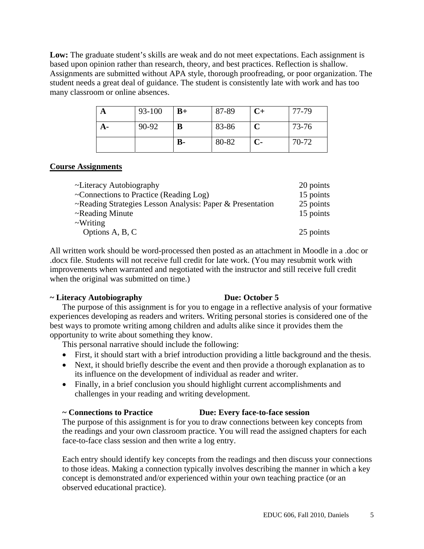**Low:** The graduate student's skills are weak and do not meet expectations. Each assignment is based upon opinion rather than research, theory, and best practices. Reflection is shallow. Assignments are submitted without APA style, thorough proofreading, or poor organization. The student needs a great deal of guidance. The student is consistently late with work and has too many classroom or online absences.

|    | 93-100 | $B+$ | 87-89 | $C+$ | 77-79 |
|----|--------|------|-------|------|-------|
| A- | 90-92  | B    | 83-86 |      | 73-76 |
|    |        | $B-$ | 80-82 | $C-$ | 70-72 |

## **Course Assignments**

| ~Literacy Autobiography                                   | 20 points |
|-----------------------------------------------------------|-----------|
| $\sim$ Connections to Practice (Reading Log)              | 15 points |
| ~Reading Strategies Lesson Analysis: Paper & Presentation | 25 points |
| ~Reading Minute                                           | 15 points |
| $\sim$ Writing                                            |           |
| Options A, B, C                                           | 25 points |
|                                                           |           |

All written work should be word-processed then posted as an attachment in Moodle in a .doc or .docx file. Students will not receive full credit for late work. (You may resubmit work with improvements when warranted and negotiated with the instructor and still receive full credit when the original was submitted on time.)

#### **~ Literacy Autobiography Due: October 5**

The purpose of this assignment is for you to engage in a reflective analysis of your formative experiences developing as readers and writers. Writing personal stories is considered one of the best ways to promote writing among children and adults alike since it provides them the opportunity to write about something they know.

This personal narrative should include the following:

- First, it should start with a brief introduction providing a little background and the thesis.
- Next, it should briefly describe the event and then provide a thorough explanation as to its influence on the development of individual as reader and writer.
- Finally, in a brief conclusion you should highlight current accomplishments and challenges in your reading and writing development.

# **~ Connections to Practice Due: Every face-to-face session**

The purpose of this assignment is for you to draw connections between key concepts from the readings and your own classroom practice. You will read the assigned chapters for each face-to-face class session and then write a log entry.

Each entry should identify key concepts from the readings and then discuss your connections to those ideas. Making a connection typically involves describing the manner in which a key concept is demonstrated and/or experienced within your own teaching practice (or an observed educational practice).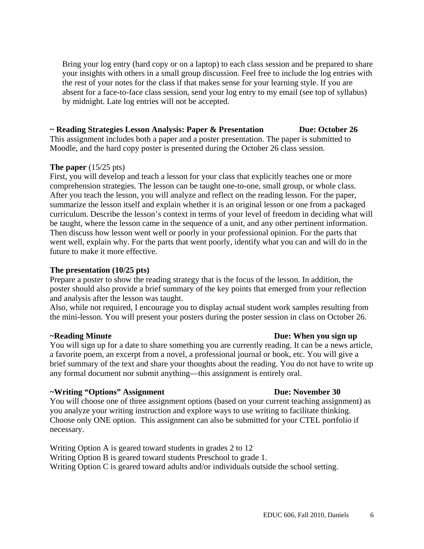Bring your log entry (hard copy or on a laptop) to each class session and be prepared to share your insights with others in a small group discussion. Feel free to include the log entries with the rest of your notes for the class if that makes sense for your learning style. If you are absent for a face-to-face class session, send your log entry to my email (see top of syllabus) by midnight. Late log entries will not be accepted.

## **~ Reading Strategies Lesson Analysis: Paper & Presentation Due: October 26**

This assignment includes both a paper and a poster presentation. The paper is submitted to Moodle, and the hard copy poster is presented during the October 26 class session.

#### **The paper** (15/25 pts)

First, you will develop and teach a lesson for your class that explicitly teaches one or more comprehension strategies. The lesson can be taught one-to-one, small group, or whole class. After you teach the lesson, you will analyze and reflect on the reading lesson. For the paper, summarize the lesson itself and explain whether it is an original lesson or one from a packaged curriculum. Describe the lesson's context in terms of your level of freedom in deciding what will be taught, where the lesson came in the sequence of a unit, and any other pertinent information. Then discuss how lesson went well or poorly in your professional opinion. For the parts that went well, explain why. For the parts that went poorly, identify what you can and will do in the future to make it more effective.

#### **The presentation (10/25 pts)**

Prepare a poster to show the reading strategy that is the focus of the lesson. In addition, the poster should also provide a brief summary of the key points that emerged from your reflection and analysis after the lesson was taught.

Also, while not required, I encourage you to display actual student work samples resulting from the mini-lesson. You will present your posters during the poster session in class on October 26.

#### **~Reading Minute Due: When you sign up**

You will sign up for a date to share something you are currently reading. It can be a news article, a favorite poem, an excerpt from a novel, a professional journal or book, etc. You will give a brief summary of the text and share your thoughts about the reading. You do not have to write up any formal document nor submit anything—this assignment is entirely oral.

#### **~Writing "Options" Assignment Due: November 30**

You will choose one of three assignment options (based on your current teaching assignment) as you analyze your writing instruction and explore ways to use writing to facilitate thinking. Choose only ONE option. This assignment can also be submitted for your CTEL portfolio if necessary.

 Writing Option A is geared toward students in grades 2 to 12. Writing Option B is geared toward students Preschool to grade 1. Writing Option C is geared toward adults and/or individuals outside the school setting.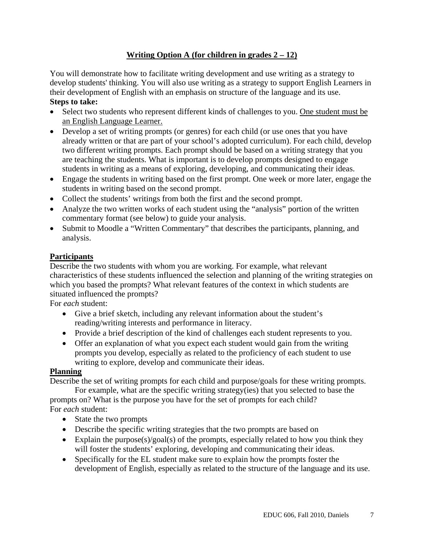# **Writing Option A (for children in grades 2 – 12)**

You will demonstrate how to facilitate writing development and use writing as a strategy to develop students' thinking. You will also use writing as a strategy to support English Learners in their development of English with an emphasis on structure of the language and its use. **Steps to take:** 

- Select two students who represent different kinds of challenges to you. One student must be an English Language Learner.
- Develop a set of writing prompts (or genres) for each child (or use ones that you have already written or that are part of your school's adopted curriculum). For each child, develop two different writing prompts. Each prompt should be based on a writing strategy that you are teaching the students. What is important is to develop prompts designed to engage students in writing as a means of exploring, developing, and communicating their ideas.
- Engage the students in writing based on the first prompt. One week or more later, engage the students in writing based on the second prompt.
- Collect the students' writings from both the first and the second prompt.
- Analyze the two written works of each student using the "analysis" portion of the written commentary format (see below) to guide your analysis.
- Submit to Moodle a "Written Commentary" that describes the participants, planning, and analysis.

# **Participants**

Describe the two students with whom you are working. For example, what relevant characteristics of these students influenced the selection and planning of the writing strategies on which you based the prompts? What relevant features of the context in which students are situated influenced the prompts?

For *each* student:

- Give a brief sketch, including any relevant information about the student's reading/writing interests and performance in literacy.
- Provide a brief description of the kind of challenges each student represents to you.
- Offer an explanation of what you expect each student would gain from the writing prompts you develop, especially as related to the proficiency of each student to use writing to explore, develop and communicate their ideas.

# **Planning**

Describe the set of writing prompts for each child and purpose/goals for these writing prompts.

For example, what are the specific writing strategy(ies) that you selected to base the prompts on? What is the purpose you have for the set of prompts for each child? For *each* student:

- State the two prompts
- Describe the specific writing strategies that the two prompts are based on
- Explain the purpose(s)/goal(s) of the prompts, especially related to how you think they will foster the students' exploring, developing and communicating their ideas.
- Specifically for the EL student make sure to explain how the prompts foster the development of English, especially as related to the structure of the language and its use.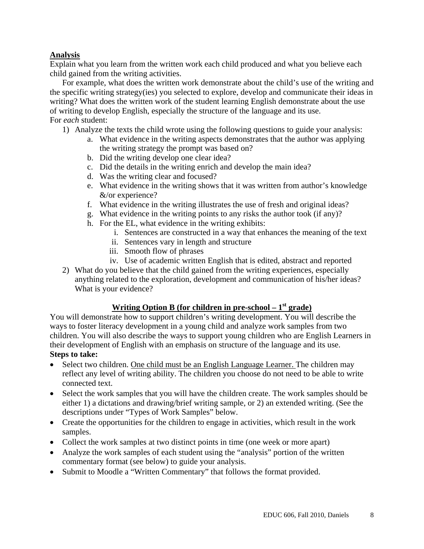## **Analysis**

Explain what you learn from the written work each child produced and what you believe each child gained from the writing activities.

For example, what does the written work demonstrate about the child's use of the writing and the specific writing strategy(ies) you selected to explore, develop and communicate their ideas in writing? What does the written work of the student learning English demonstrate about the use of writing to develop English, especially the structure of the language and its use. For *each* student:

- 1) Analyze the texts the child wrote using the following questions to guide your analysis:
	- a. What evidence in the writing aspects demonstrates that the author was applying the writing strategy the prompt was based on?
	- b. Did the writing develop one clear idea?
	- c. Did the details in the writing enrich and develop the main idea?
	- d. Was the writing clear and focused?
	- e. What evidence in the writing shows that it was written from author's knowledge &/or experience?
	- f. What evidence in the writing illustrates the use of fresh and original ideas?
	- g. What evidence in the writing points to any risks the author took (if any)?
	- h. For the EL, what evidence in the writing exhibits:
		- i. Sentences are constructed in a way that enhances the meaning of the text
		- ii. Sentences vary in length and structure
		- iii. Smooth flow of phrases
		- iv. Use of academic written English that is edited, abstract and reported
- 2) What do you believe that the child gained from the writing experiences, especially anything related to the exploration, development and communication of his/her ideas? What is your evidence?

# **Writing Option B (for children in pre-school – 1st grade)**

You will demonstrate how to support children's writing development. You will describe the ways to foster literacy development in a young child and analyze work samples from two children. You will also describe the ways to support young children who are English Learners in their development of English with an emphasis on structure of the language and its use. **Steps to take:** 

- Select two children. One child must be an English Language Learner. The children may reflect any level of writing ability. The children you choose do not need to be able to write connected text.
- Select the work samples that you will have the children create. The work samples should be either 1) a dictations and drawing/brief writing sample, or 2) an extended writing. (See the descriptions under "Types of Work Samples" below.
- Create the opportunities for the children to engage in activities, which result in the work samples.
- Collect the work samples at two distinct points in time (one week or more apart)
- Analyze the work samples of each student using the "analysis" portion of the written commentary format (see below) to guide your analysis.
- Submit to Moodle a "Written Commentary" that follows the format provided.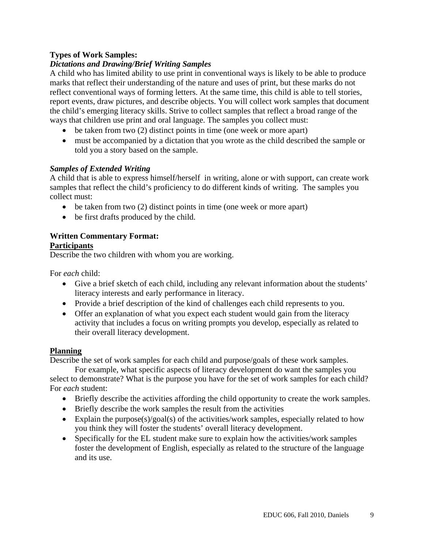## **Types of Work Samples:**

## *Dictations and Drawing/Brief Writing Samples*

A child who has limited ability to use print in conventional ways is likely to be able to produce marks that reflect their understanding of the nature and uses of print, but these marks do not reflect conventional ways of forming letters. At the same time, this child is able to tell stories, report events, draw pictures, and describe objects. You will collect work samples that document the child's emerging literacy skills. Strive to collect samples that reflect a broad range of the ways that children use print and oral language. The samples you collect must:

- $\bullet$  be taken from two (2) distinct points in time (one week or more apart)
- must be accompanied by a dictation that you wrote as the child described the sample or told you a story based on the sample.

#### *Samples of Extended Writing*

A child that is able to express himself/herself in writing, alone or with support, can create work samples that reflect the child's proficiency to do different kinds of writing. The samples you collect must:

- $\bullet$  be taken from two (2) distinct points in time (one week or more apart)
- be first drafts produced by the child.

# **Written Commentary Format:**

#### **Participants**

Describe the two children with whom you are working.

For *each* child:

- Give a brief sketch of each child, including any relevant information about the students' literacy interests and early performance in literacy.
- Provide a brief description of the kind of challenges each child represents to you.
- Offer an explanation of what you expect each student would gain from the literacy activity that includes a focus on writing prompts you develop, especially as related to their overall literacy development.

#### **Planning**

Describe the set of work samples for each child and purpose/goals of these work samples.

For example, what specific aspects of literacy development do want the samples you select to demonstrate? What is the purpose you have for the set of work samples for each child? For *each* student:

- Briefly describe the activities affording the child opportunity to create the work samples.
- Briefly describe the work samples the result from the activities
- Explain the purpose(s)/goal(s) of the activities/work samples, especially related to how you think they will foster the students' overall literacy development.
- Specifically for the EL student make sure to explain how the activities/work samples foster the development of English, especially as related to the structure of the language and its use.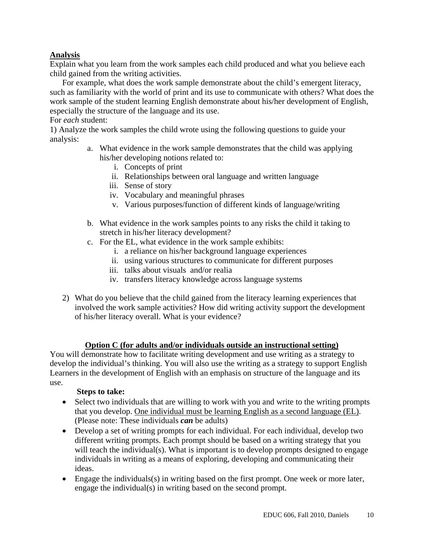# **Analysis**

Explain what you learn from the work samples each child produced and what you believe each child gained from the writing activities.

For example, what does the work sample demonstrate about the child's emergent literacy, such as familiarity with the world of print and its use to communicate with others? What does the work sample of the student learning English demonstrate about his/her development of English, especially the structure of the language and its use.

#### For *each* student:

1) Analyze the work samples the child wrote using the following questions to guide your analysis:

- a. What evidence in the work sample demonstrates that the child was applying his/her developing notions related to:
	- i. Concepts of print
	- ii. Relationships between oral language and written language
	- iii. Sense of story
	- iv. Vocabulary and meaningful phrases
	- v. Various purposes/function of different kinds of language/writing
- b. What evidence in the work samples points to any risks the child it taking to stretch in his/her literacy development?
- c. For the EL, what evidence in the work sample exhibits:
	- i. a reliance on his/her background language experiences
	- ii. using various structures to communicate for different purposes
	- iii. talks about visuals and/or realia
	- iv. transfers literacy knowledge across language systems
- 2) What do you believe that the child gained from the literacy learning experiences that involved the work sample activities? How did writing activity support the development of his/her literacy overall. What is your evidence?

# **Option C (for adults and/or individuals outside an instructional setting)**

You will demonstrate how to facilitate writing development and use writing as a strategy to develop the individual's thinking. You will also use the writing as a strategy to support English Learners in the development of English with an emphasis on structure of the language and its use.

#### **Steps to take:**

- Select two individuals that are willing to work with you and write to the writing prompts that you develop. One individual must be learning English as a second language (EL). (Please note: These individuals *can* be adults)
- Develop a set of writing prompts for each individual. For each individual, develop two different writing prompts. Each prompt should be based on a writing strategy that you will teach the individual(s). What is important is to develop prompts designed to engage individuals in writing as a means of exploring, developing and communicating their ideas.
- Engage the individuals(s) in writing based on the first prompt. One week or more later, engage the individual(s) in writing based on the second prompt.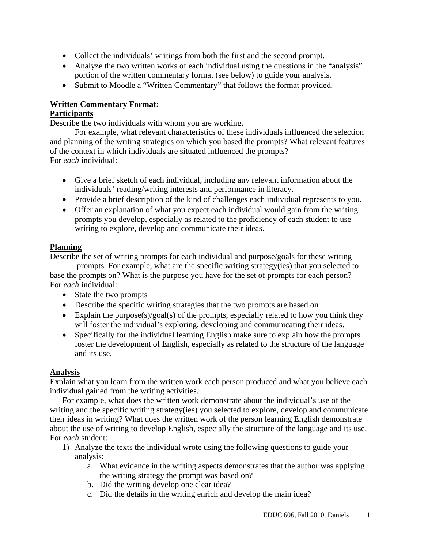- Collect the individuals' writings from both the first and the second prompt.
- Analyze the two written works of each individual using the questions in the "analysis" portion of the written commentary format (see below) to guide your analysis.
- Submit to Moodle a "Written Commentary" that follows the format provided.

# **Written Commentary Format:**

# **Participants**

Describe the two individuals with whom you are working.

For example, what relevant characteristics of these individuals influenced the selection and planning of the writing strategies on which you based the prompts? What relevant features of the context in which individuals are situated influenced the prompts? For *each* individual:

- Give a brief sketch of each individual, including any relevant information about the individuals' reading/writing interests and performance in literacy.
- Provide a brief description of the kind of challenges each individual represents to you.
- Offer an explanation of what you expect each individual would gain from the writing prompts you develop, especially as related to the proficiency of each student to use writing to explore, develop and communicate their ideas.

# **Planning**

Describe the set of writing prompts for each individual and purpose/goals for these writing

 prompts. For example, what are the specific writing strategy(ies) that you selected to base the prompts on? What is the purpose you have for the set of prompts for each person? For *each* individual:

- State the two prompts
- Describe the specific writing strategies that the two prompts are based on
- Explain the purpose(s)/goal(s) of the prompts, especially related to how you think they will foster the individual's exploring, developing and communicating their ideas.
- Specifically for the individual learning English make sure to explain how the prompts foster the development of English, especially as related to the structure of the language and its use.

# **Analysis**

Explain what you learn from the written work each person produced and what you believe each individual gained from the writing activities.

For example, what does the written work demonstrate about the individual's use of the writing and the specific writing strategy(ies) you selected to explore, develop and communicate their ideas in writing? What does the written work of the person learning English demonstrate about the use of writing to develop English, especially the structure of the language and its use. For *each* student:

- 1) Analyze the texts the individual wrote using the following questions to guide your analysis:
	- a. What evidence in the writing aspects demonstrates that the author was applying the writing strategy the prompt was based on?
	- b. Did the writing develop one clear idea?
	- c. Did the details in the writing enrich and develop the main idea?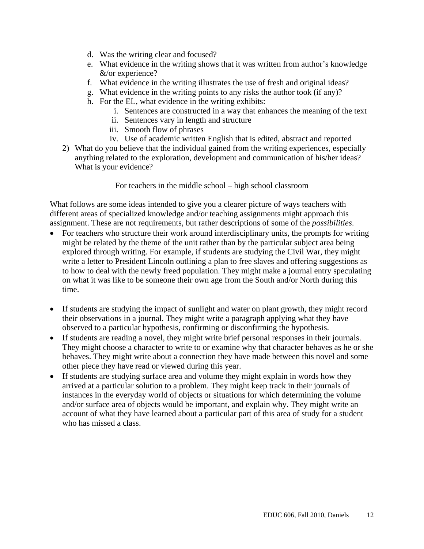- d. Was the writing clear and focused?
- e. What evidence in the writing shows that it was written from author's knowledge &/or experience?
- f. What evidence in the writing illustrates the use of fresh and original ideas?
- g. What evidence in the writing points to any risks the author took (if any)?
- h. For the EL, what evidence in the writing exhibits:
	- i. Sentences are constructed in a way that enhances the meaning of the text
	- ii. Sentences vary in length and structure
	- iii. Smooth flow of phrases
	- iv. Use of academic written English that is edited, abstract and reported
- 2) What do you believe that the individual gained from the writing experiences, especially anything related to the exploration, development and communication of his/her ideas? What is your evidence?

For teachers in the middle school – high school classroom

What follows are some ideas intended to give you a clearer picture of ways teachers with different areas of specialized knowledge and/or teaching assignments might approach this assignment. These are not requirements, but rather descriptions of some of the *possibilities*.

- For teachers who structure their work around interdisciplinary units, the prompts for writing might be related by the theme of the unit rather than by the particular subject area being explored through writing. For example, if students are studying the Civil War, they might write a letter to President Lincoln outlining a plan to free slaves and offering suggestions as to how to deal with the newly freed population. They might make a journal entry speculating on what it was like to be someone their own age from the South and/or North during this time.
- If students are studying the impact of sunlight and water on plant growth, they might record their observations in a journal. They might write a paragraph applying what they have observed to a particular hypothesis, confirming or disconfirming the hypothesis.
- If students are reading a novel, they might write brief personal responses in their journals. They might choose a character to write to or examine why that character behaves as he or she behaves. They might write about a connection they have made between this novel and some other piece they have read or viewed during this year.
- If students are studying surface area and volume they might explain in words how they arrived at a particular solution to a problem. They might keep track in their journals of instances in the everyday world of objects or situations for which determining the volume and/or surface area of objects would be important, and explain why. They might write an account of what they have learned about a particular part of this area of study for a student who has missed a class.